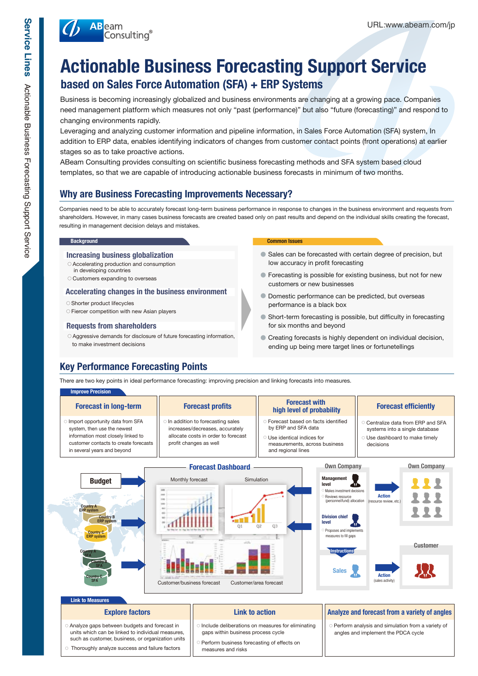

# **Actionable Business Forecasting Support Service based on Sales Force Automation (SFA) + ERP Systems**

Business is becoming increasingly globalized and business environments are changing at a growing pace. Companies need management platform which measures not only "past (performance)" but also "future (forecasting)" and respond to changing environments rapidly.

Leveraging and analyzing customer information and pipeline information, in Sales Force Automation (SFA) system, In addition to ERP data, enables identifying indicators of changes from customer contact points (front operations) at earlier stages so as to take proactive actions.

ABeam Consulting provides consulting on scientific business forecasting methods and SFA system based cloud templates, so that we are capable of introducing actionable business forecasts in minimum of two months.

## **Why are Business Forecasting Improvements Necessary?**

Companies need to be able to accurately forecast long-term business performance in response to changes in the business environment and requests from shareholders. However, in many cases business forecasts are created based only on past results and depend on the individual skills creating the forecast, resulting in management decision delays and mistakes.

### **Increasing business globalization**

- **○** Accelerating production and consumption
- in developing countries
- **○** Customers expanding to overseas

#### **Accelerating changes in the business environment**

- **○** Shorter product lifecycles
- **○** Fiercer competition with new Asian players

### **Requests from shareholders**

**○** Aggressive demands for disclosure of future forecasting information, to make investment decisions

#### **Background Common Issues**

- **●** Sales can be forecasted with certain degree of precision, but low accuracy in profit forecasting
- **●** Forecasting is possible for existing business, but not for new customers or new businesses
- **●** Domestic performance can be predicted, but overseas performance is a black box
- **●** Short-term forecasting is possible, but difficulty in forecasting for six months and beyond
- **●** Creating forecasts is highly dependent on individual decision, ending up being mere target lines or fortunetellings

## **Key Performance Forecasting Points**

There are two key points in ideal performance forecasting: improving precision and linking forecasts into measures.

| <b>Improve Precision</b><br><b>Forecast in long-term</b>                                                                                                                      | <b>Forecast profits</b>                                                                                                              | <b>Forecast with</b><br>high level of probability                                                                                                              | <b>Forecast efficiently</b>                                                                                         |
|-------------------------------------------------------------------------------------------------------------------------------------------------------------------------------|--------------------------------------------------------------------------------------------------------------------------------------|----------------------------------------------------------------------------------------------------------------------------------------------------------------|---------------------------------------------------------------------------------------------------------------------|
| Import opportunity data from SFA<br>system, then use the newest<br>information most closely linked to<br>customer contacts to create forecasts<br>in several years and beyond | In addition to forecasting sales<br>increases/decreases, accurately<br>allocate costs in order to forecast<br>profit changes as well | <b>C</b> Forecast based on facts identified<br>by ERP and SFA data<br>$\circ$ Use identical indices for<br>measurements, across business<br>and regional lines | O Centralize data from ERP and SFA<br>systems into a single database<br>O Use dashboard to make timely<br>decisions |
|                                                                                                                                                                               | <b>Forecast Dashboard</b>                                                                                                            | <b>Own Company</b>                                                                                                                                             | <b>Own Company</b>                                                                                                  |
| <b>Budget</b><br><b>Country A</b><br><b>ERP</b> system<br><b>Country B</b><br><b>ERP</b> system                                                                               | Monthly forecast                                                                                                                     | <b>Management</b><br>Simulation<br>level<br>Makes investment decisions<br>Reviews resource<br>(personnel/fund) allocation<br><b>Division chief</b><br>امبروا   | <b>Action</b><br>(resource review, etc.)                                                                            |



#### **Link to Measure**

**Country C SFA**

**Country A SFA**

**Country B SFA**

**Country C ERP system**

- **○** Analyze gaps between budgets and forecast in units which can be linked to individual measures, such as customer, business, or organization units
- **○** Thoroughly analyze success and failure factors

- **○** Include deliberations on measures for eliminating gaps within business process cycle
- **○** Perform business forecasting of effects on measures and risks

### **Explore factors Link to action Link to action Analyze and forecast from a variety of angles**

**○** Perform analysis and simulation from a variety of angles and implement the PDCA cycle